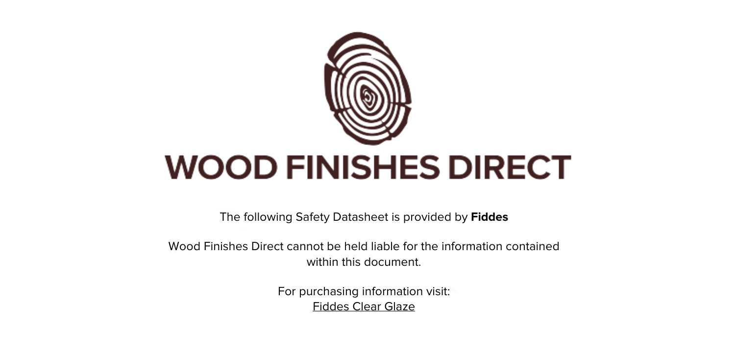

The following Safety Datasheet is provided by **Fiddes**

Wood Finishes Direct cannot be held liable for the information contained within this document

> For purchasing information visit: [Fiddes Clear Glaze](https://www.wood-finishes-direct.com/product/fiddes-clear-glaze)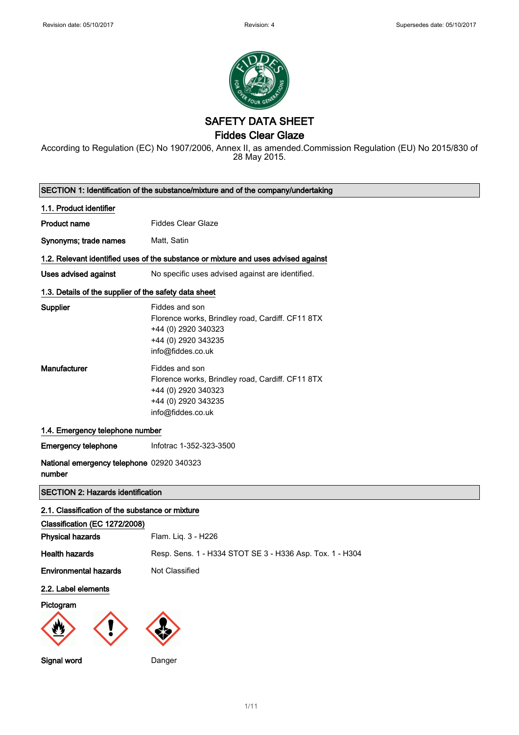

SAFETY DATA SHEET

Fiddes Clear Glaze

According to Regulation (EC) No 1907/2006, Annex II, as amended.Commission Regulation (EU) No 2015/830 of 28 May 2015.

| SECTION 1: Identification of the substance/mixture and of the company/undertaking |                                                                                                                                       |  |
|-----------------------------------------------------------------------------------|---------------------------------------------------------------------------------------------------------------------------------------|--|
| 1.1. Product identifier                                                           |                                                                                                                                       |  |
| <b>Product name</b>                                                               | <b>Fiddes Clear Glaze</b>                                                                                                             |  |
| Synonyms; trade names                                                             | Matt, Satin                                                                                                                           |  |
|                                                                                   | 1.2. Relevant identified uses of the substance or mixture and uses advised against                                                    |  |
| Uses advised against                                                              | No specific uses advised against are identified.                                                                                      |  |
| 1.3. Details of the supplier of the safety data sheet                             |                                                                                                                                       |  |
| Supplier                                                                          | Fiddes and son<br>Florence works, Brindley road, Cardiff. CF11 8TX<br>+44 (0) 2920 340323<br>+44 (0) 2920 343235<br>info@fiddes.co.uk |  |
| Manufacturer                                                                      | Fiddes and son<br>Florence works, Brindley road, Cardiff. CF11 8TX<br>+44 (0) 2920 340323<br>+44 (0) 2920 343235<br>info@fiddes.co.uk |  |
| 1.4. Emergency telephone number                                                   |                                                                                                                                       |  |
| <b>Emergency telephone</b>                                                        | Infotrac 1-352-323-3500                                                                                                               |  |
| National emergency telephone 02920 340323<br>number                               |                                                                                                                                       |  |
| <b>SECTION 2: Hazards identification</b>                                          |                                                                                                                                       |  |
| 2.1. Classification of the substance or mixture                                   |                                                                                                                                       |  |
| Classification (EC 1272/2008)                                                     |                                                                                                                                       |  |
| <b>Physical hazards</b>                                                           | Flam. Liq. 3 - H226                                                                                                                   |  |
| <b>Health hazards</b>                                                             | Resp. Sens. 1 - H334 STOT SE 3 - H336 Asp. Tox. 1 - H304                                                                              |  |
| <b>Environmental hazards</b>                                                      | Not Classified                                                                                                                        |  |
| 2.2. Label elements                                                               |                                                                                                                                       |  |
| Pictogram                                                                         |                                                                                                                                       |  |
| Signal word                                                                       | Danger                                                                                                                                |  |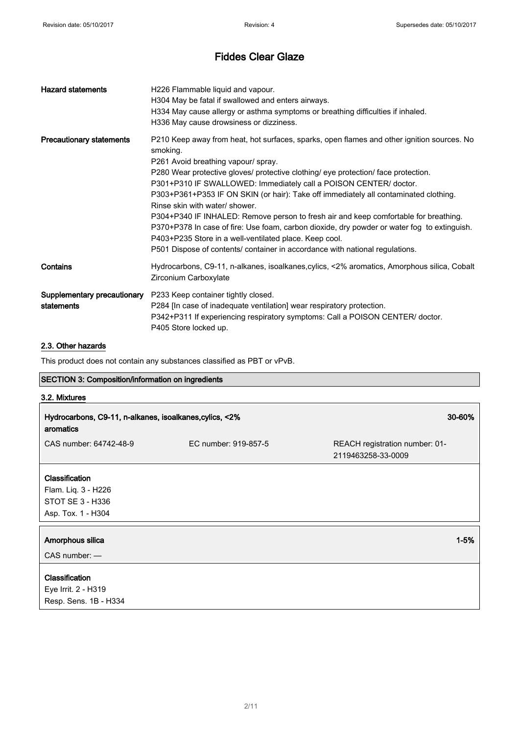| <b>Hazard statements</b>                  | H226 Flammable liquid and vapour.<br>H304 May be fatal if swallowed and enters airways.<br>H334 May cause allergy or asthma symptoms or breathing difficulties if inhaled.<br>H336 May cause drowsiness or dizziness.                                                                                                                                                                                                                                                                                                                                                                                                                                                                                                                                               |
|-------------------------------------------|---------------------------------------------------------------------------------------------------------------------------------------------------------------------------------------------------------------------------------------------------------------------------------------------------------------------------------------------------------------------------------------------------------------------------------------------------------------------------------------------------------------------------------------------------------------------------------------------------------------------------------------------------------------------------------------------------------------------------------------------------------------------|
| <b>Precautionary statements</b>           | P210 Keep away from heat, hot surfaces, sparks, open flames and other ignition sources. No<br>smoking.<br>P261 Avoid breathing vapour/ spray.<br>P280 Wear protective gloves/ protective clothing/ eye protection/ face protection.<br>P301+P310 IF SWALLOWED: Immediately call a POISON CENTER/ doctor.<br>P303+P361+P353 IF ON SKIN (or hair): Take off immediately all contaminated clothing.<br>Rinse skin with water/ shower.<br>P304+P340 IF INHALED: Remove person to fresh air and keep comfortable for breathing.<br>P370+P378 In case of fire: Use foam, carbon dioxide, dry powder or water fog to extinguish.<br>P403+P235 Store in a well-ventilated place. Keep cool.<br>P501 Dispose of contents/ container in accordance with national regulations. |
| Contains                                  | Hydrocarbons, C9-11, n-alkanes, isoalkanes, cylics, <2% aromatics, Amorphous silica, Cobalt<br>Zirconium Carboxylate                                                                                                                                                                                                                                                                                                                                                                                                                                                                                                                                                                                                                                                |
| Supplementary precautionary<br>statements | P233 Keep container tightly closed.<br>P284 [In case of inadequate ventilation] wear respiratory protection.<br>P342+P311 If experiencing respiratory symptoms: Call a POISON CENTER/ doctor.<br>P405 Store locked up.                                                                                                                                                                                                                                                                                                                                                                                                                                                                                                                                              |

## 2.3. Other hazards

This product does not contain any substances classified as PBT or vPvB.

## SECTION 3: Composition/information on ingredients

| 3.2. Mixtures                                                        |                      |                                                      |  |
|----------------------------------------------------------------------|----------------------|------------------------------------------------------|--|
| Hydrocarbons, C9-11, n-alkanes, isoalkanes, cylics, <2%<br>aromatics |                      | 30-60%                                               |  |
| CAS number: 64742-48-9                                               | EC number: 919-857-5 | REACH registration number: 01-<br>2119463258-33-0009 |  |
| Classification                                                       |                      |                                                      |  |
| Flam. Liq. 3 - H226                                                  |                      |                                                      |  |
| STOT SE 3 - H336                                                     |                      |                                                      |  |
| Asp. Tox. 1 - H304                                                   |                      |                                                      |  |
| Amorphous silica                                                     |                      | $1 - 5%$                                             |  |
| $CAS$ number: $-$                                                    |                      |                                                      |  |
| Classification<br>Eye Irrit. 2 - H319                                |                      |                                                      |  |
| Resp. Sens. 1B - H334                                                |                      |                                                      |  |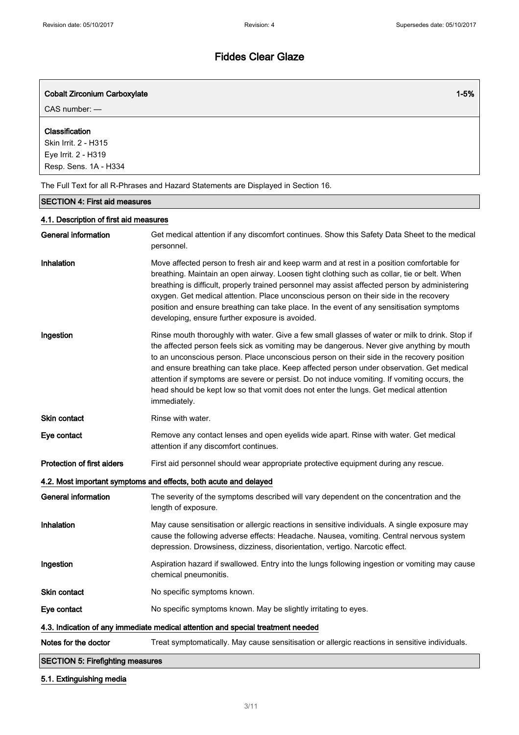| <b>Cobalt Zirconium Carboxylate</b><br>CAS number: -                                   | $1 - 5%$                                                                                                                                                                                                                                                                                                                                                                                                                                                                                                                                                                                      |
|----------------------------------------------------------------------------------------|-----------------------------------------------------------------------------------------------------------------------------------------------------------------------------------------------------------------------------------------------------------------------------------------------------------------------------------------------------------------------------------------------------------------------------------------------------------------------------------------------------------------------------------------------------------------------------------------------|
| Classification<br>Skin Irrit. 2 - H315<br>Eye Irrit. 2 - H319<br>Resp. Sens. 1A - H334 |                                                                                                                                                                                                                                                                                                                                                                                                                                                                                                                                                                                               |
|                                                                                        | The Full Text for all R-Phrases and Hazard Statements are Displayed in Section 16.                                                                                                                                                                                                                                                                                                                                                                                                                                                                                                            |
| <b>SECTION 4: First aid measures</b>                                                   |                                                                                                                                                                                                                                                                                                                                                                                                                                                                                                                                                                                               |
| 4.1. Description of first aid measures                                                 |                                                                                                                                                                                                                                                                                                                                                                                                                                                                                                                                                                                               |
| <b>General information</b>                                                             | Get medical attention if any discomfort continues. Show this Safety Data Sheet to the medical<br>personnel.                                                                                                                                                                                                                                                                                                                                                                                                                                                                                   |
| Inhalation                                                                             | Move affected person to fresh air and keep warm and at rest in a position comfortable for<br>breathing. Maintain an open airway. Loosen tight clothing such as collar, tie or belt. When<br>breathing is difficult, properly trained personnel may assist affected person by administering<br>oxygen. Get medical attention. Place unconscious person on their side in the recovery<br>position and ensure breathing can take place. In the event of any sensitisation symptoms<br>developing, ensure further exposure is avoided.                                                            |
| Ingestion                                                                              | Rinse mouth thoroughly with water. Give a few small glasses of water or milk to drink. Stop if<br>the affected person feels sick as vomiting may be dangerous. Never give anything by mouth<br>to an unconscious person. Place unconscious person on their side in the recovery position<br>and ensure breathing can take place. Keep affected person under observation. Get medical<br>attention if symptoms are severe or persist. Do not induce vomiting. If vomiting occurs, the<br>head should be kept low so that vomit does not enter the lungs. Get medical attention<br>immediately. |
| <b>Skin contact</b>                                                                    | Rinse with water.                                                                                                                                                                                                                                                                                                                                                                                                                                                                                                                                                                             |
| Eye contact                                                                            | Remove any contact lenses and open eyelids wide apart. Rinse with water. Get medical<br>attention if any discomfort continues.                                                                                                                                                                                                                                                                                                                                                                                                                                                                |
| <b>Protection of first aiders</b>                                                      | First aid personnel should wear appropriate protective equipment during any rescue.                                                                                                                                                                                                                                                                                                                                                                                                                                                                                                           |
|                                                                                        | 4.2. Most important symptoms and effects, both acute and delayed                                                                                                                                                                                                                                                                                                                                                                                                                                                                                                                              |
| <b>General information</b>                                                             | The severity of the symptoms described will vary dependent on the concentration and the<br>length of exposure.                                                                                                                                                                                                                                                                                                                                                                                                                                                                                |
| Inhalation                                                                             | May cause sensitisation or allergic reactions in sensitive individuals. A single exposure may<br>cause the following adverse effects: Headache. Nausea, vomiting. Central nervous system<br>depression. Drowsiness, dizziness, disorientation, vertigo. Narcotic effect.                                                                                                                                                                                                                                                                                                                      |
| Ingestion                                                                              | Aspiration hazard if swallowed. Entry into the lungs following ingestion or vomiting may cause<br>chemical pneumonitis.                                                                                                                                                                                                                                                                                                                                                                                                                                                                       |
| Skin contact                                                                           | No specific symptoms known.                                                                                                                                                                                                                                                                                                                                                                                                                                                                                                                                                                   |
| Eye contact                                                                            | No specific symptoms known. May be slightly irritating to eyes.                                                                                                                                                                                                                                                                                                                                                                                                                                                                                                                               |
|                                                                                        | 4.3. Indication of any immediate medical attention and special treatment needed                                                                                                                                                                                                                                                                                                                                                                                                                                                                                                               |
| Notes for the doctor                                                                   | Treat symptomatically. May cause sensitisation or allergic reactions in sensitive individuals.                                                                                                                                                                                                                                                                                                                                                                                                                                                                                                |
| <b>SECTION 5: Firefighting measures</b>                                                |                                                                                                                                                                                                                                                                                                                                                                                                                                                                                                                                                                                               |

## 5.1. Extinguishing media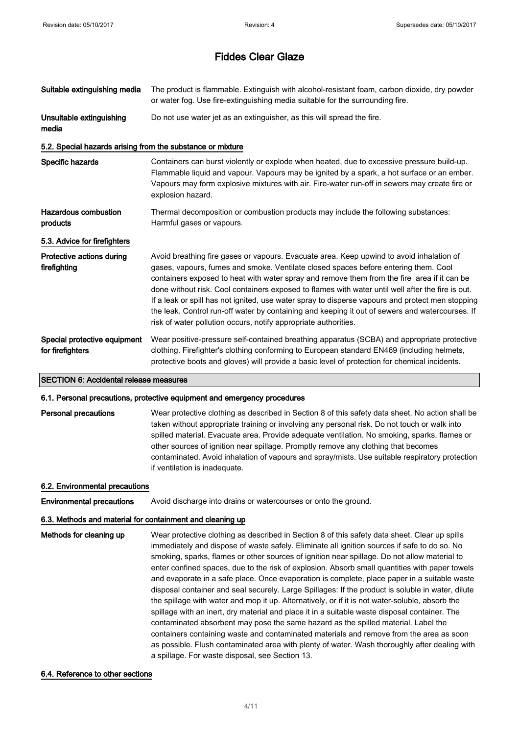| Suitable extinguishing media                               | The product is flammable. Extinguish with alcohol-resistant foam, carbon dioxide, dry powder<br>or water fog. Use fire-extinguishing media suitable for the surrounding fire.                                                                                                                                                                                                                                                                                                                                                                                                                                                                                 |  |
|------------------------------------------------------------|---------------------------------------------------------------------------------------------------------------------------------------------------------------------------------------------------------------------------------------------------------------------------------------------------------------------------------------------------------------------------------------------------------------------------------------------------------------------------------------------------------------------------------------------------------------------------------------------------------------------------------------------------------------|--|
| Unsuitable extinguishing<br>media                          | Do not use water jet as an extinguisher, as this will spread the fire.                                                                                                                                                                                                                                                                                                                                                                                                                                                                                                                                                                                        |  |
| 5.2. Special hazards arising from the substance or mixture |                                                                                                                                                                                                                                                                                                                                                                                                                                                                                                                                                                                                                                                               |  |
| Specific hazards                                           | Containers can burst violently or explode when heated, due to excessive pressure build-up.<br>Flammable liquid and vapour. Vapours may be ignited by a spark, a hot surface or an ember.<br>Vapours may form explosive mixtures with air. Fire-water run-off in sewers may create fire or<br>explosion hazard.                                                                                                                                                                                                                                                                                                                                                |  |
| Hazardous combustion<br>products                           | Thermal decomposition or combustion products may include the following substances:<br>Harmful gases or vapours.                                                                                                                                                                                                                                                                                                                                                                                                                                                                                                                                               |  |
| 5.3. Advice for firefighters                               |                                                                                                                                                                                                                                                                                                                                                                                                                                                                                                                                                                                                                                                               |  |
| Protective actions during<br>firefighting                  | Avoid breathing fire gases or vapours. Evacuate area. Keep upwind to avoid inhalation of<br>gases, vapours, fumes and smoke. Ventilate closed spaces before entering them. Cool<br>containers exposed to heat with water spray and remove them from the fire area if it can be<br>done without risk. Cool containers exposed to flames with water until well after the fire is out.<br>If a leak or spill has not ignited, use water spray to disperse vapours and protect men stopping<br>the leak. Control run-off water by containing and keeping it out of sewers and watercourses. If<br>risk of water pollution occurs, notify appropriate authorities. |  |
| Special protective equipment<br>for firefighters           | Wear positive-pressure self-contained breathing apparatus (SCBA) and appropriate protective<br>clothing. Firefighter's clothing conforming to European standard EN469 (including helmets,<br>protective boots and gloves) will provide a basic level of protection for chemical incidents.                                                                                                                                                                                                                                                                                                                                                                    |  |

SECTION 6: Accidental release measures

#### 6.1. Personal precautions, protective equipment and emergency procedures

Personal precautions Wear protective clothing as described in Section 8 of this safety data sheet. No action shall be taken without appropriate training or involving any personal risk. Do not touch or walk into spilled material. Evacuate area. Provide adequate ventilation. No smoking, sparks, flames or other sources of ignition near spillage. Promptly remove any clothing that becomes contaminated. Avoid inhalation of vapours and spray/mists. Use suitable respiratory protection if ventilation is inadequate.

#### 6.2. Environmental precautions

Environmental precautions Avoid discharge into drains or watercourses or onto the ground.

## 6.3. Methods and material for containment and cleaning up

Methods for cleaning up Wear protective clothing as described in Section 8 of this safety data sheet. Clear up spills immediately and dispose of waste safely. Eliminate all ignition sources if safe to do so. No smoking, sparks, flames or other sources of ignition near spillage. Do not allow material to enter confined spaces, due to the risk of explosion. Absorb small quantities with paper towels and evaporate in a safe place. Once evaporation is complete, place paper in a suitable waste disposal container and seal securely. Large Spillages: If the product is soluble in water, dilute the spillage with water and mop it up. Alternatively, or if it is not water-soluble, absorb the spillage with an inert, dry material and place it in a suitable waste disposal container. The contaminated absorbent may pose the same hazard as the spilled material. Label the containers containing waste and contaminated materials and remove from the area as soon as possible. Flush contaminated area with plenty of water. Wash thoroughly after dealing with a spillage. For waste disposal, see Section 13.

#### 6.4. Reference to other sections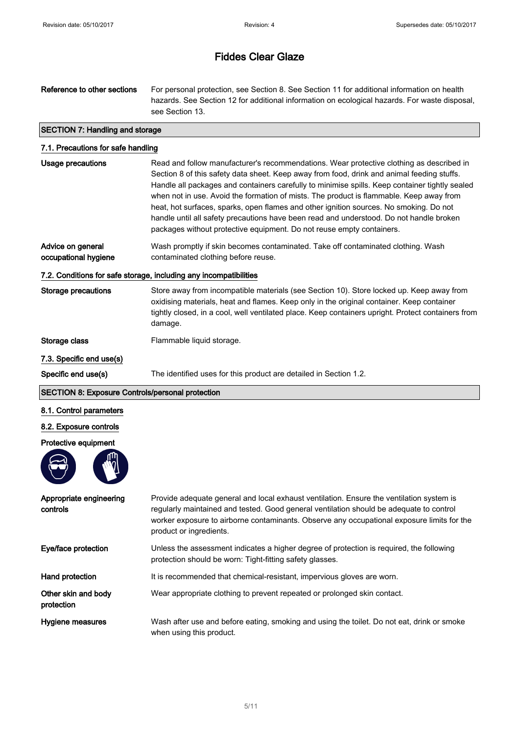# Reference to other sections For personal protection, see Section 8. See Section 11 for additional information on health hazards. See Section 12 for additional information on ecological hazards. For waste disposal, see Section 13. SECTION 7: Handling and storage 7.1. Precautions for safe handling Usage precautions Read and follow manufacturer's recommendations. Wear protective clothing as described in Section 8 of this safety data sheet. Keep away from food, drink and animal feeding stuffs. Handle all packages and containers carefully to minimise spills. Keep container tightly sealed when not in use. Avoid the formation of mists. The product is flammable. Keep away from heat, hot surfaces, sparks, open flames and other ignition sources. No smoking. Do not handle until all safety precautions have been read and understood. Do not handle broken packages without protective equipment. Do not reuse empty containers. Advice on general occupational hygiene Wash promptly if skin becomes contaminated. Take off contaminated clothing. Wash contaminated clothing before reuse. 7.2. Conditions for safe storage, including any incompatibilities Storage precautions Store away from incompatible materials (see Section 10). Store locked up. Keep away from oxidising materials, heat and flames. Keep only in the original container. Keep container tightly closed, in a cool, well ventilated place. Keep containers upright. Protect containers from damage. Storage class Flammable liquid storage. 7.3. Specific end use(s) Specific end use(s) The identified uses for this product are detailed in Section 1.2. SECTION 8: Exposure Controls/personal protection 8.1. Control parameters 8.2. Exposure controls Protective equipment Appropriate engineering controls Provide adequate general and local exhaust ventilation. Ensure the ventilation system is regularly maintained and tested. Good general ventilation should be adequate to control worker exposure to airborne contaminants. Observe any occupational exposure limits for the product or ingredients. Eye/face protection Unless the assessment indicates a higher degree of protection is required, the following protection should be worn: Tight-fitting safety glasses. Hand protection **It is recommended that chemical-resistant**, impervious gloves are worn. Other skin and body protection Wear appropriate clothing to prevent repeated or prolonged skin contact.

Hygiene measures Wash after use and before eating, smoking and using the toilet. Do not eat, drink or smoke when using this product.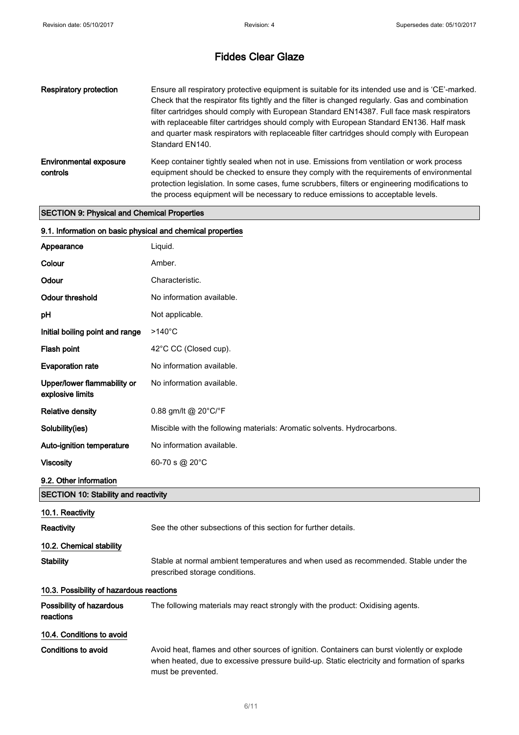| Respiratory protection                    | Ensure all respiratory protective equipment is suitable for its intended use and is 'CE'-marked.<br>Check that the respirator fits tightly and the filter is changed regularly. Gas and combination<br>filter cartridges should comply with European Standard EN14387. Full face mask respirators<br>with replaceable filter cartridges should comply with European Standard EN136. Half mask<br>and quarter mask respirators with replaceable filter cartridges should comply with European<br>Standard EN140. |
|-------------------------------------------|-----------------------------------------------------------------------------------------------------------------------------------------------------------------------------------------------------------------------------------------------------------------------------------------------------------------------------------------------------------------------------------------------------------------------------------------------------------------------------------------------------------------|
| <b>Environmental exposure</b><br>controls | Keep container tightly sealed when not in use. Emissions from ventilation or work process<br>equipment should be checked to ensure they comply with the requirements of environmental<br>protection legislation. In some cases, fume scrubbers, filters or engineering modifications to<br>the process equipment will be necessary to reduce emissions to acceptable levels.                                                                                                                                    |

## SECTION 9: Physical and Chemical Properties

| 9.1. Information on basic physical and chemical properties |                                                                                                                                                                                                                  |
|------------------------------------------------------------|------------------------------------------------------------------------------------------------------------------------------------------------------------------------------------------------------------------|
| Appearance                                                 | Liquid.                                                                                                                                                                                                          |
| Colour                                                     | Amber.                                                                                                                                                                                                           |
| Odour                                                      | Characteristic.                                                                                                                                                                                                  |
| <b>Odour threshold</b>                                     | No information available.                                                                                                                                                                                        |
| рH                                                         | Not applicable.                                                                                                                                                                                                  |
| Initial boiling point and range                            | $>140^{\circ}$ C                                                                                                                                                                                                 |
| Flash point                                                | 42°C CC (Closed cup).                                                                                                                                                                                            |
| <b>Evaporation rate</b>                                    | No information available.                                                                                                                                                                                        |
| Upper/lower flammability or<br>explosive limits            | No information available.                                                                                                                                                                                        |
| <b>Relative density</b>                                    | 0.88 gm/lt @ 20 $^{\circ}$ C/ $^{\circ}$ F                                                                                                                                                                       |
| Solubility(ies)                                            | Miscible with the following materials: Aromatic solvents. Hydrocarbons.                                                                                                                                          |
| Auto-ignition temperature                                  | No information available.                                                                                                                                                                                        |
| Viscosity                                                  | 60-70 s @ 20°C                                                                                                                                                                                                   |
| 9.2. Other information                                     |                                                                                                                                                                                                                  |
| <b>SECTION 10: Stability and reactivity</b>                |                                                                                                                                                                                                                  |
| 10.1. Reactivity                                           |                                                                                                                                                                                                                  |
| <b>Reactivity</b>                                          | See the other subsections of this section for further details.                                                                                                                                                   |
| 10.2. Chemical stability                                   |                                                                                                                                                                                                                  |
| <b>Stability</b>                                           | Stable at normal ambient temperatures and when used as recommended. Stable under the<br>prescribed storage conditions.                                                                                           |
| 10.3. Possibility of hazardous reactions                   |                                                                                                                                                                                                                  |
| Possibility of hazardous<br>reactions                      | The following materials may react strongly with the product: Oxidising agents.                                                                                                                                   |
| 10.4. Conditions to avoid                                  |                                                                                                                                                                                                                  |
| <b>Conditions to avoid</b>                                 | Avoid heat, flames and other sources of ignition. Containers can burst violently or explode<br>when heated, due to excessive pressure build-up. Static electricity and formation of sparks<br>must be prevented. |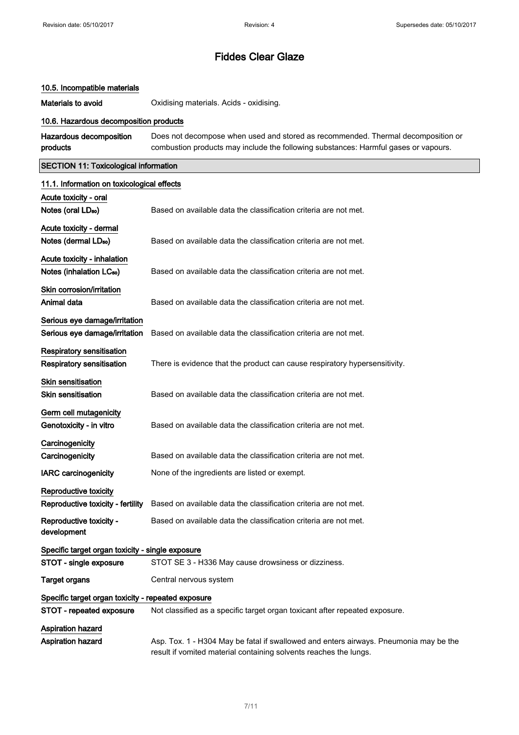#### 10.5. Incompatible materials

Materials to avoid **Materials to avoid** Oxidising materials. Acids - oxidising.

#### 10.6. Hazardous decomposition products

Hazardous decomposition products Does not decompose when used and stored as recommended. Thermal decomposition or combustion products may include the following substances: Harmful gases or vapours.

## SECTION 11: Toxicological information

| 11.1. Information on toxicological effects         |                                                                                                                                                            |
|----------------------------------------------------|------------------------------------------------------------------------------------------------------------------------------------------------------------|
| Acute toxicity - oral                              |                                                                                                                                                            |
| Notes (oral LD <sub>50</sub> )                     | Based on available data the classification criteria are not met.                                                                                           |
| Acute toxicity - dermal                            |                                                                                                                                                            |
| Notes (dermal LD <sub>50</sub> )                   | Based on available data the classification criteria are not met.                                                                                           |
| Acute toxicity - inhalation                        |                                                                                                                                                            |
| Notes (inhalation LC <sub>50</sub> )               | Based on available data the classification criteria are not met.                                                                                           |
| Skin corrosion/irritation                          |                                                                                                                                                            |
| Animal data                                        | Based on available data the classification criteria are not met.                                                                                           |
| Serious eye damage/irritation                      |                                                                                                                                                            |
| Serious eye damage/irritation                      | Based on available data the classification criteria are not met.                                                                                           |
| <b>Respiratory sensitisation</b>                   |                                                                                                                                                            |
| Respiratory sensitisation                          | There is evidence that the product can cause respiratory hypersensitivity.                                                                                 |
| <b>Skin sensitisation</b>                          |                                                                                                                                                            |
| <b>Skin sensitisation</b>                          | Based on available data the classification criteria are not met.                                                                                           |
| Germ cell mutagenicity                             |                                                                                                                                                            |
| Genotoxicity - in vitro                            | Based on available data the classification criteria are not met.                                                                                           |
| Carcinogenicity                                    |                                                                                                                                                            |
| Carcinogenicity                                    | Based on available data the classification criteria are not met.                                                                                           |
| <b>IARC carcinogenicity</b>                        | None of the ingredients are listed or exempt.                                                                                                              |
| Reproductive toxicity                              |                                                                                                                                                            |
| Reproductive toxicity - fertility                  | Based on available data the classification criteria are not met.                                                                                           |
| Reproductive toxicity -<br>development             | Based on available data the classification criteria are not met.                                                                                           |
| Specific target organ toxicity - single exposure   |                                                                                                                                                            |
| STOT - single exposure                             | STOT SE 3 - H336 May cause drowsiness or dizziness.                                                                                                        |
| Target organs                                      | Central nervous system                                                                                                                                     |
| Specific target organ toxicity - repeated exposure |                                                                                                                                                            |
| STOT - repeated exposure                           | Not classified as a specific target organ toxicant after repeated exposure.                                                                                |
| <b>Aspiration hazard</b>                           |                                                                                                                                                            |
| <b>Aspiration hazard</b>                           | Asp. Tox. 1 - H304 May be fatal if swallowed and enters airways. Pneumonia may be the<br>result if vomited material containing solvents reaches the lungs. |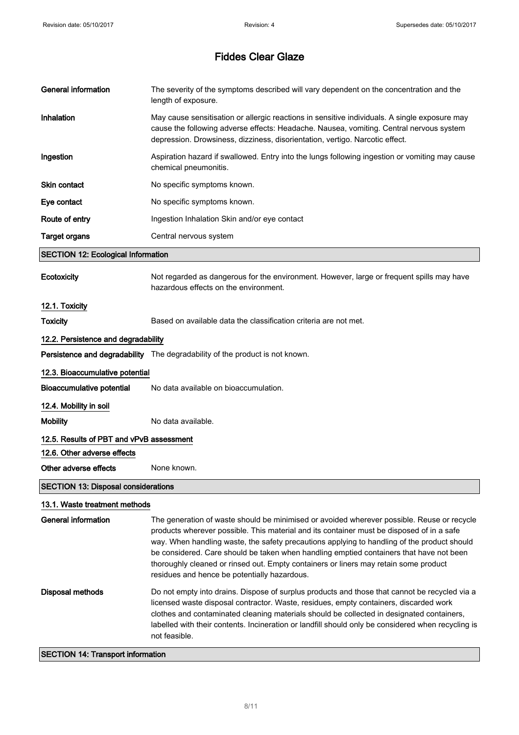| <b>General information</b>                 | The severity of the symptoms described will vary dependent on the concentration and the<br>length of exposure.                                                                                                                                                                                                                                                                                                                                                                                                            |  |
|--------------------------------------------|---------------------------------------------------------------------------------------------------------------------------------------------------------------------------------------------------------------------------------------------------------------------------------------------------------------------------------------------------------------------------------------------------------------------------------------------------------------------------------------------------------------------------|--|
| Inhalation                                 | May cause sensitisation or allergic reactions in sensitive individuals. A single exposure may<br>cause the following adverse effects: Headache. Nausea, vomiting. Central nervous system<br>depression. Drowsiness, dizziness, disorientation, vertigo. Narcotic effect.                                                                                                                                                                                                                                                  |  |
| Ingestion                                  | Aspiration hazard if swallowed. Entry into the lungs following ingestion or vomiting may cause<br>chemical pneumonitis.                                                                                                                                                                                                                                                                                                                                                                                                   |  |
| Skin contact                               | No specific symptoms known.                                                                                                                                                                                                                                                                                                                                                                                                                                                                                               |  |
| Eye contact                                | No specific symptoms known.                                                                                                                                                                                                                                                                                                                                                                                                                                                                                               |  |
| Route of entry                             | Ingestion Inhalation Skin and/or eye contact                                                                                                                                                                                                                                                                                                                                                                                                                                                                              |  |
| <b>Target organs</b>                       | Central nervous system                                                                                                                                                                                                                                                                                                                                                                                                                                                                                                    |  |
| <b>SECTION 12: Ecological Information</b>  |                                                                                                                                                                                                                                                                                                                                                                                                                                                                                                                           |  |
| Ecotoxicity                                | Not regarded as dangerous for the environment. However, large or frequent spills may have<br>hazardous effects on the environment.                                                                                                                                                                                                                                                                                                                                                                                        |  |
| 12.1. Toxicity                             |                                                                                                                                                                                                                                                                                                                                                                                                                                                                                                                           |  |
| <b>Toxicity</b>                            | Based on available data the classification criteria are not met.                                                                                                                                                                                                                                                                                                                                                                                                                                                          |  |
| 12.2. Persistence and degradability        |                                                                                                                                                                                                                                                                                                                                                                                                                                                                                                                           |  |
|                                            | Persistence and degradability The degradability of the product is not known.                                                                                                                                                                                                                                                                                                                                                                                                                                              |  |
| 12.3. Bioaccumulative potential            |                                                                                                                                                                                                                                                                                                                                                                                                                                                                                                                           |  |
| <b>Bioaccumulative potential</b>           | No data available on bioaccumulation.                                                                                                                                                                                                                                                                                                                                                                                                                                                                                     |  |
| 12.4. Mobility in soil                     |                                                                                                                                                                                                                                                                                                                                                                                                                                                                                                                           |  |
| <b>Mobility</b>                            | No data available.                                                                                                                                                                                                                                                                                                                                                                                                                                                                                                        |  |
| 12.5. Results of PBT and vPvB assessment   |                                                                                                                                                                                                                                                                                                                                                                                                                                                                                                                           |  |
| 12.6. Other adverse effects                |                                                                                                                                                                                                                                                                                                                                                                                                                                                                                                                           |  |
| Other adverse effects                      | None known.                                                                                                                                                                                                                                                                                                                                                                                                                                                                                                               |  |
| <b>SECTION 13: Disposal considerations</b> |                                                                                                                                                                                                                                                                                                                                                                                                                                                                                                                           |  |
| 13.1. Waste treatment methods              |                                                                                                                                                                                                                                                                                                                                                                                                                                                                                                                           |  |
| General information                        | The generation of waste should be minimised or avoided wherever possible. Reuse or recycle<br>products wherever possible. This material and its container must be disposed of in a safe<br>way. When handling waste, the safety precautions applying to handling of the product should<br>be considered. Care should be taken when handling emptied containers that have not been<br>thoroughly cleaned or rinsed out. Empty containers or liners may retain some product<br>residues and hence be potentially hazardous. |  |
| <b>Disposal methods</b>                    | Do not empty into drains. Dispose of surplus products and those that cannot be recycled via a<br>licensed waste disposal contractor. Waste, residues, empty containers, discarded work<br>clothes and contaminated cleaning materials should be collected in designated containers,<br>labelled with their contents. Incineration or landfill should only be considered when recycling is<br>not feasible.                                                                                                                |  |

SECTION 14: Transport information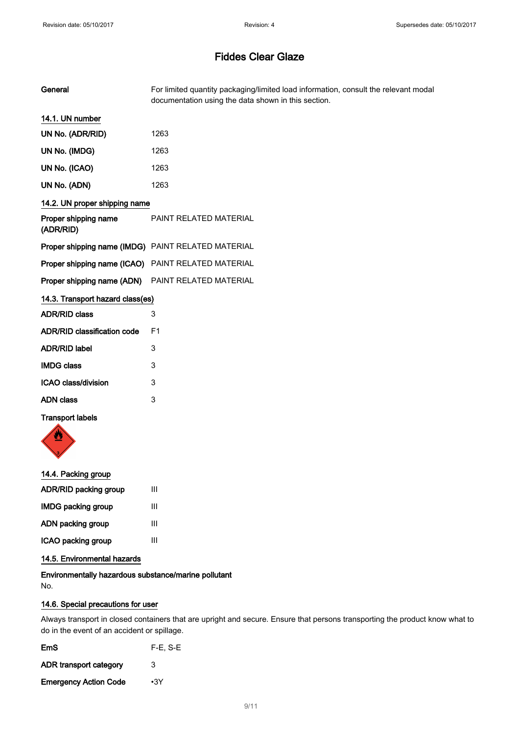| General                                            | For limited quantity packaging/limited load information, consult the relevant modal<br>documentation using the data shown in this section. |
|----------------------------------------------------|--------------------------------------------------------------------------------------------------------------------------------------------|
| 14.1. UN number                                    |                                                                                                                                            |
| UN No. (ADR/RID)                                   | 1263                                                                                                                                       |
| UN No. (IMDG)                                      | 1263                                                                                                                                       |
| UN No. (ICAO)                                      | 1263                                                                                                                                       |
| UN No. (ADN)                                       | 1263                                                                                                                                       |
| 14.2. UN proper shipping name                      |                                                                                                                                            |
| Proper shipping name<br>(ADR/RID)                  | PAINT RELATED MATERIAL                                                                                                                     |
|                                                    | Proper shipping name (IMDG) PAINT RELATED MATERIAL                                                                                         |
| Proper shipping name (ICAO) PAINT RELATED MATERIAL |                                                                                                                                            |
| Proper shipping name (ADN)                         | PAINT RELATED MATERIAL                                                                                                                     |
| 14.3. Transport hazard class(es)                   |                                                                                                                                            |
| <b>ADR/RID class</b>                               | 3                                                                                                                                          |
| ADR/RID classification code                        | F <sub>1</sub>                                                                                                                             |
| <b>ADR/RID label</b>                               | 3                                                                                                                                          |
| <b>IMDG class</b>                                  | 3                                                                                                                                          |
| <b>ICAO class/division</b>                         | 3                                                                                                                                          |
| <b>ADN class</b>                                   | 3                                                                                                                                          |

## Transport labels



| 14.4. Packing group       |   |
|---------------------------|---|
| ADR/RID packing group     | Ш |
| <b>IMDG packing group</b> | Ш |
| ADN packing group         | Ш |
| ICAO packing group        | Ш |
|                           |   |

## 14.5. Environmental hazards

Environmentally hazardous substance/marine pollutant No.

## 14.6. Special precautions for user

Always transport in closed containers that are upright and secure. Ensure that persons transporting the product know what to do in the event of an accident or spillage.

| EmS                          | $F-E. S-E$ |
|------------------------------|------------|
| ADR transport category       | 3          |
| <b>Emergency Action Code</b> | $\cdot$ 3Y |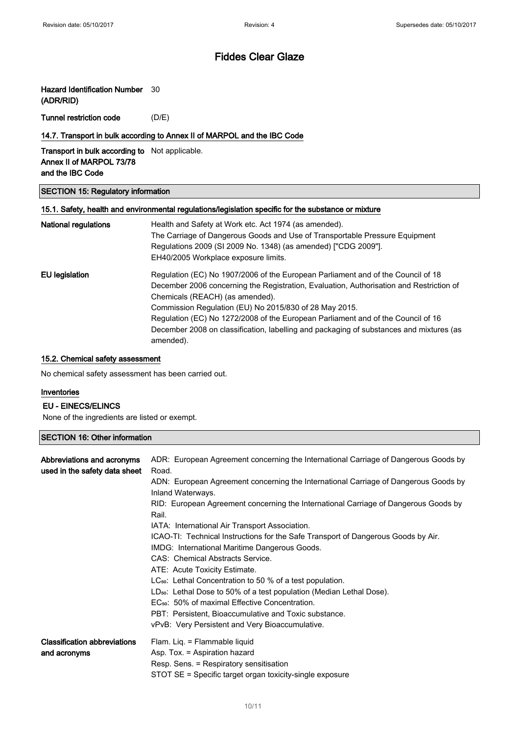## Hazard Identification Number 30

(ADR/RID)

Tunnel restriction code (D/E)

## 14.7. Transport in bulk according to Annex II of MARPOL and the IBC Code

Transport in bulk according to Not applicable. Annex II of MARPOL 73/78 and the IBC Code

#### SECTION 15: Regulatory information

## 15.1. Safety, health and environmental regulations/legislation specific for the substance or mixture

| National regulations | Health and Safety at Work etc. Act 1974 (as amended).<br>The Carriage of Dangerous Goods and Use of Transportable Pressure Equipment<br>Regulations 2009 (SI 2009 No. 1348) (as amended) ["CDG 2009"].<br>EH40/2005 Workplace exposure limits.     |
|----------------------|----------------------------------------------------------------------------------------------------------------------------------------------------------------------------------------------------------------------------------------------------|
| EU legislation       | Regulation (EC) No 1907/2006 of the European Parliament and of the Council of 18<br>December 2006 concerning the Registration, Evaluation, Authorisation and Restriction of<br>Chemicals (REACH) (as amended).                                     |
|                      | Commission Regulation (EU) No 2015/830 of 28 May 2015.<br>Regulation (EC) No 1272/2008 of the European Parliament and of the Council of 16<br>December 2008 on classification, labelling and packaging of substances and mixtures (as<br>amended). |

## 15.2. Chemical safety assessment

No chemical safety assessment has been carried out.

#### Inventories

## EU - EINECS/ELINCS

None of the ingredients are listed or exempt.

## SECTION 16: Other information

| Abbreviations and acronyms<br>used in the safety data sheet | ADR: European Agreement concerning the International Carriage of Dangerous Goods by<br>Road.<br>ADN: European Agreement concerning the International Carriage of Dangerous Goods by<br>Inland Waterways.<br>RID: European Agreement concerning the International Carriage of Dangerous Goods by<br>Rail.<br>IATA: International Air Transport Association.<br>ICAO-TI: Technical Instructions for the Safe Transport of Dangerous Goods by Air.<br>IMDG: International Maritime Dangerous Goods.<br>CAS: Chemical Abstracts Service.<br>ATE: Acute Toxicity Estimate.<br>LC <sub>50</sub> : Lethal Concentration to 50 % of a test population.<br>$LD_{50}$ : Lethal Dose to 50% of a test population (Median Lethal Dose).<br>EC <sub>50</sub> : 50% of maximal Effective Concentration.<br>PBT: Persistent, Bioaccumulative and Toxic substance.<br>vPvB: Very Persistent and Very Bioaccumulative. |
|-------------------------------------------------------------|-------------------------------------------------------------------------------------------------------------------------------------------------------------------------------------------------------------------------------------------------------------------------------------------------------------------------------------------------------------------------------------------------------------------------------------------------------------------------------------------------------------------------------------------------------------------------------------------------------------------------------------------------------------------------------------------------------------------------------------------------------------------------------------------------------------------------------------------------------------------------------------------------------|
| <b>Classification abbreviations</b><br>and acronyms         | Flam. Lig. = Flammable liquid<br>Asp. Tox. = Aspiration hazard<br>Resp. Sens. = Respiratory sensitisation<br>STOT SE = Specific target organ toxicity-single exposure                                                                                                                                                                                                                                                                                                                                                                                                                                                                                                                                                                                                                                                                                                                                 |